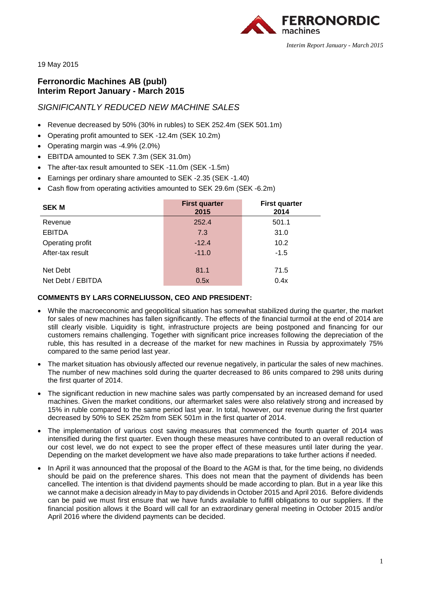

19 May 2015

# **Ferronordic Machines AB (publ) Interim Report January - March 2015**

# *SIGNIFICANTLY REDUCED NEW MACHINE SALES*

- Revenue decreased by 50% (30% in rubles) to SEK 252.4m (SEK 501.1m)
- Operating profit amounted to SEK -12.4m (SEK 10.2m)
- Operating margin was -4.9% (2.0%)
- EBITDA amounted to SEK 7.3m (SEK 31.0m)
- The after-tax result amounted to SEK -11.0m (SEK -1.5m)
- Earnings per ordinary share amounted to SEK -2.35 (SEK -1.40)
- Cash flow from operating activities amounted to SEK 29.6m (SEK -6.2m)

| <b>SEK M</b>      | <b>First quarter</b><br>2015 | <b>First quarter</b><br>2014 |
|-------------------|------------------------------|------------------------------|
| Revenue           | 252.4                        | 501.1                        |
| <b>EBITDA</b>     | 7.3                          | 31.0                         |
| Operating profit  | $-12.4$                      | 10.2                         |
| After-tax result  | $-11.0$                      | $-1.5$                       |
| Net Debt          | 81.1                         | 71.5                         |
| Net Debt / EBITDA | 0.5x                         | 0.4x                         |

# **COMMENTS BY LARS CORNELIUSSON, CEO AND PRESIDENT:**

- While the macroeconomic and geopolitical situation has somewhat stabilized during the quarter, the market for sales of new machines has fallen significantly. The effects of the financial turmoil at the end of 2014 are still clearly visible. Liquidity is tight, infrastructure projects are being postponed and financing for our customers remains challenging. Together with significant price increases following the depreciation of the ruble, this has resulted in a decrease of the market for new machines in Russia by approximately 75% compared to the same period last year.
- The market situation has obviously affected our revenue negatively, in particular the sales of new machines. The number of new machines sold during the quarter decreased to 86 units compared to 298 units during the first quarter of 2014.
- The significant reduction in new machine sales was partly compensated by an increased demand for used machines. Given the market conditions, our aftermarket sales were also relatively strong and increased by 15% in ruble compared to the same period last year. In total, however, our revenue during the first quarter decreased by 50% to SEK 252m from SEK 501m in the first quarter of 2014.
- The implementation of various cost saving measures that commenced the fourth quarter of 2014 was intensified during the first quarter. Even though these measures have contributed to an overall reduction of our cost level, we do not expect to see the proper effect of these measures until later during the year. Depending on the market development we have also made preparations to take further actions if needed.
- In April it was announced that the proposal of the Board to the AGM is that, for the time being, no dividends should be paid on the preference shares. This does not mean that the payment of dividends has been cancelled. The intention is that dividend payments should be made according to plan. But in a year like this we cannot make a decision already in May to pay dividends in October 2015 and April 2016. Before dividends can be paid we must first ensure that we have funds available to fulfill obligations to our suppliers. If the financial position allows it the Board will call for an extraordinary general meeting in October 2015 and/or April 2016 where the dividend payments can be decided.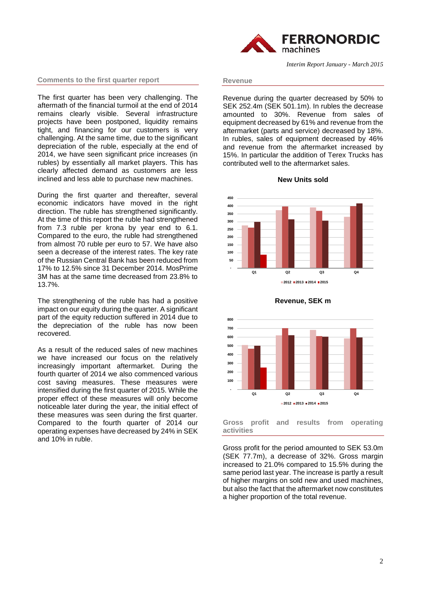#### **Comments to the first quarter report**

The first quarter has been very challenging. The aftermath of the financial turmoil at the end of 2014 remains clearly visible. Several infrastructure projects have been postponed, liquidity remains tight, and financing for our customers is very challenging. At the same time, due to the significant depreciation of the ruble, especially at the end of 2014, we have seen significant price increases (in rubles) by essentially all market players. This has clearly affected demand as customers are less inclined and less able to purchase new machines.

During the first quarter and thereafter, several economic indicators have moved in the right direction. The ruble has strengthened significantly. At the time of this report the ruble had strengthened from 7.3 ruble per krona by year end to 6.1. Compared to the euro, the ruble had strengthened from almost 70 ruble per euro to 57. We have also seen a decrease of the interest rates. The key rate of the Russian Central Bank has been reduced from 17% to 12.5% since 31 December 2014. MosPrime 3M has at the same time decreased from 23.8% to 13.7%.

The strengthening of the ruble has had a positive impact on our equity during the quarter. A significant part of the equity reduction suffered in 2014 due to the depreciation of the ruble has now been recovered.

As a result of the reduced sales of new machines we have increased our focus on the relatively increasingly important aftermarket. During the fourth quarter of 2014 we also commenced various cost saving measures. These measures were intensified during the first quarter of 2015. While the proper effect of these measures will only become noticeable later during the year, the initial effect of these measures was seen during the first quarter. Compared to the fourth quarter of 2014 our operating expenses have decreased by 24% in SEK and 10% in ruble.



*Interim Report January - March 2015*

#### **Revenue**

Revenue during the quarter decreased by 50% to SEK 252.4m (SEK 501.1m). In rubles the decrease amounted to 30%. Revenue from sales of equipment decreased by 61% and revenue from the aftermarket (parts and service) decreased by 18%. In rubles, sales of equipment decreased by 46% and revenue from the aftermarket increased by 15%. In particular the addition of Terex Trucks has contributed well to the aftermarket sales.







**Revenue, SEK m**

**Gross profit and results from operating activities**

Gross profit for the period amounted to SEK 53.0m (SEK 77.7m), a decrease of 32%. Gross margin increased to 21.0% compared to 15.5% during the same period last year. The increase is partly a result of higher margins on sold new and used machines, but also the fact that the aftermarket now constitutes a higher proportion of the total revenue.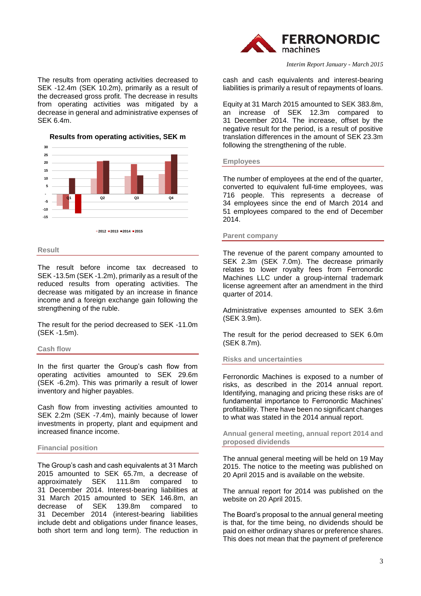

The results from operating activities decreased to SEK -12.4m (SEK 10.2m), primarily as a result of the decreased gross profit. The decrease in results from operating activities was mitigated by a decrease in general and administrative expenses of SEK 6.4m.

**Results from operating activities, SEK m**



#### **Result**

The result before income tax decreased to SEK -13.5m (SEK -1.2m), primarily as a result of the reduced results from operating activities. The decrease was mitigated by an increase in finance income and a foreign exchange gain following the strengthening of the ruble.

The result for the period decreased to SEK -11.0m (SEK -1.5m).

#### **Cash flow**

In the first quarter the Group's cash flow from operating activities amounted to SEK 29.6m (SEK -6.2m). This was primarily a result of lower inventory and higher payables.

Cash flow from investing activities amounted to SEK 2.2m (SEK -7.4m), mainly because of lower investments in property, plant and equipment and increased finance income.

## **Financial position**

The Group's cash and cash equivalents at 31 March 2015 amounted to SEK 65.7m, a decrease of approximately SEK 111.8m compared to 31 December 2014. Interest-bearing liabilities at 31 March 2015 amounted to SEK 146.8m, an decrease of SEK 139.8m compared to 31 December 2014 (interest-bearing liabilities include debt and obligations under finance leases, both short term and long term). The reduction in

cash and cash equivalents and interest-bearing liabilities is primarily a result of repayments of loans.

Equity at 31 March 2015 amounted to SEK 383.8m, an increase of SEK 12.3m compared to 31 December 2014. The increase, offset by the negative result for the period, is a result of positive translation differences in the amount of SEK 23.3m following the strengthening of the ruble.

#### **Employees**

The number of employees at the end of the quarter, converted to equivalent full-time employees, was 716 people. This represents a decrease of 34 employees since the end of March 2014 and 51 employees compared to the end of December 2014.

#### **Parent company**

The revenue of the parent company amounted to SEK 2.3m (SEK 7.0m). The decrease primarily relates to lower royalty fees from Ferronordic Machines LLC under a group-internal trademark license agreement after an amendment in the third quarter of 2014.

Administrative expenses amounted to SEK 3.6m (SEK 3.9m).

The result for the period decreased to SEK 6.0m (SEK 8.7m).

## **Risks and uncertainties**

Ferronordic Machines is exposed to a number of risks, as described in the 2014 annual report. Identifying, managing and pricing these risks are of fundamental importance to Ferronordic Machines' profitability. There have been no significant changes to what was stated in the 2014 annual report.

**Annual general meeting, annual report 2014 and proposed dividends**

The annual general meeting will be held on 19 May 2015. The notice to the meeting was published on 20 April 2015 and is available on the website.

The annual report for 2014 was published on the website on 20 April 2015.

The Board's proposal to the annual general meeting is that, for the time being, no dividends should be paid on either ordinary shares or preference shares. This does not mean that the payment of preference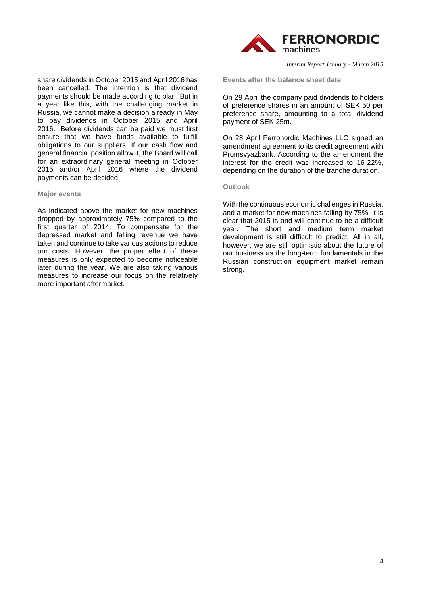

**Events after the balance sheet date**

On 29 April the company paid dividends to holders of preference shares in an amount of SEK 50 per preference share, amounting to a total dividend payment of SEK 25m.

On 28 April Ferronordic Machines LLC signed an amendment agreement to its credit agreement with Promsvyazbank. According to the amendment the interest for the credit was increased to 16-22%, depending on the duration of the tranche duration.

#### **Outlook**

With the continuous economic challenges in Russia, and a market for new machines falling by 75%, it is clear that 2015 is and will continue to be a difficult year. The short and medium term market development is still difficult to predict. All in all, however, we are still optimistic about the future of our business as the long-term fundamentals in the Russian construction equipment market remain strong.

share dividends in October 2015 and April 2016 has been cancelled. The intention is that dividend payments should be made according to plan. But in a year like this, with the challenging market in Russia, we cannot make a decision already in May to pay dividends in October 2015 and April 2016. Before dividends can be paid we must first ensure that we have funds available to fulfill obligations to our suppliers. If our cash flow and general financial position allow it, the Board will call for an extraordinary general meeting in October 2015 and/or April 2016 where the dividend payments can be decided.

#### **Major events**

As indicated above the market for new machines dropped by approximately 75% compared to the first quarter of 2014. To compensate for the depressed market and falling revenue we have taken and continue to take various actions to reduce our costs. However, the proper effect of these measures is only expected to become noticeable later during the year. We are also taking various measures to increase our focus on the relatively more important aftermarket.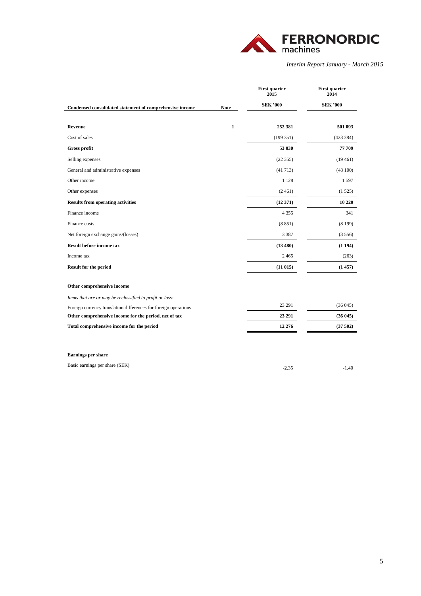

|                                                                 |              | <b>First quarter</b><br>2015 | <b>First quarter</b><br>2014 |
|-----------------------------------------------------------------|--------------|------------------------------|------------------------------|
| Condensed consolidated statement of comprehensive income        | <b>Note</b>  | <b>SEK '000</b>              | <b>SEK '000</b>              |
|                                                                 |              |                              |                              |
| <b>Revenue</b>                                                  | $\mathbf{1}$ | 252 381                      | 501 093                      |
| Cost of sales                                                   |              | (199351)                     | (423 384)                    |
| Gross profit                                                    |              | 53 030                       | 77 709                       |
| Selling expenses                                                |              | (22355)                      | (19461)                      |
| General and administrative expenses                             |              | (41713)                      | (48100)                      |
| Other income                                                    |              | 1 1 2 8                      | 1597                         |
| Other expenses                                                  |              | (2461)                       | (1525)                       |
| <b>Results from operating activities</b>                        |              | (12371)                      | 10 220                       |
| Finance income                                                  |              | 4 3 5 5                      | 341                          |
| Finance costs                                                   |              | (8851)                       | (8199)                       |
| Net foreign exchange gains/(losses)                             |              | 3 3 8 7                      | (3556)                       |
| Result before income tax                                        |              | (13480)                      | (1194)                       |
| Income tax                                                      |              | 2465                         | (263)                        |
| Result for the period                                           |              | (11015)                      | (1457)                       |
| Other comprehensive income                                      |              |                              |                              |
| Items that are or may be reclassified to profit or loss:        |              |                              |                              |
| Foreign currency translation differences for foreign operations |              | 23 29 1                      | (36045)                      |
| Other comprehensive income for the period, net of tax           |              | 23 29 1                      | (36045)                      |
| Total comprehensive income for the period                       |              | 12 276                       | (37502)                      |
|                                                                 |              |                              |                              |

### **Earnings per share**

| Basic earnings per share (SEK) | $-1.40$ |
|--------------------------------|---------|
|                                |         |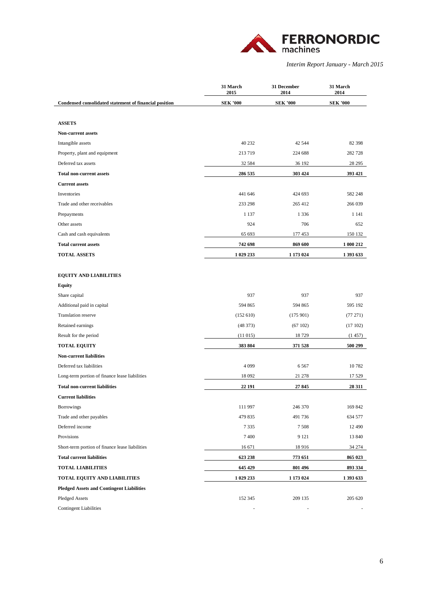

|                                                        | 31 March<br>2015 | 31 December<br>2014 | 31 March<br>2014 |
|--------------------------------------------------------|------------------|---------------------|------------------|
| Condensed consolidated statement of financial position | <b>SEK '000</b>  | <b>SEK '000</b>     | <b>SEK '000</b>  |
|                                                        |                  |                     |                  |
| <b>ASSETS</b>                                          |                  |                     |                  |
| <b>Non-current assets</b>                              |                  |                     |                  |
| Intangible assets                                      | 40 232           | 42 5 44             | 82 398           |
| Property, plant and equipment                          | 213 719          | 224 688             | 282728           |
| Deferred tax assets                                    | 32 5 8 4         | 36 192              | 28 29 5          |
| <b>Total non-current assets</b>                        | 286 535          | 303 424             | 393 421          |
| <b>Current assets</b>                                  |                  |                     |                  |
| Inventories                                            | 441 646          | 424 693             | 582 248          |
| Trade and other receivables                            | 233 298          | 265 412             | 266 039          |
| Prepayments                                            | 1 1 3 7          | 1 3 3 6             | 1 1 4 1          |
| Other assets                                           | 924              | 706                 | 652              |
| Cash and cash equivalents                              | 65 693           | 177 453             | 150 132          |
| <b>Total current assets</b>                            | 742 698          | 869 600             | 1 000 212        |
| <b>TOTAL ASSETS</b>                                    | 1 029 233        | 1 173 024           | 1 393 633        |
|                                                        |                  |                     |                  |
| <b>EQUITY AND LIABILITIES</b>                          |                  |                     |                  |
| <b>Equity</b>                                          |                  |                     |                  |
| Share capital                                          | 937              | 937                 | 937              |
| Additional paid in capital                             | 594 865          | 594 865             | 595 192          |
| <b>Translation reserve</b>                             | (152610)         | (175901)            | (77 271)         |
| Retained earnings                                      | (48373)          | (67102)             | (17102)          |
| Result for the period                                  | (11015)          | 18729               | (1457)           |
| <b>TOTAL EQUITY</b>                                    | 383 804          | 371 528             | 500 299          |
| <b>Non-current liabilities</b>                         |                  |                     |                  |
| Deferred tax liabilities                               | 4 0 9 9          | 6567                | 10782            |
| Long-term portion of finance lease liabilities         | 18 092           | 21 278              | 17 529           |
| <b>Total non-current liabilities</b>                   | 22 191           | 27845               | 28 311           |
| <b>Current liabilities</b>                             |                  |                     |                  |
| Borrowings                                             | 111 997          | 246 370             | 169 842          |
| Trade and other payables                               | 479 835          | 491 736             | 634 577          |
| Deferred income                                        | 7335             | 7508                | 12 490           |
| Provisions                                             | 7400             | 9 1 2 1             | 13 840           |
| Short-term portion of finance lease liabilities        | 16 671           | 18916               | 34 274           |
| <b>Total current liabilities</b>                       | 623 238          | 773 651             | 865 023          |
| <b>TOTAL LIABILITIES</b>                               | 645 429          | 801 496             | 893 334          |
| TOTAL EQUITY AND LIABILITIES                           | 1 029 233        | 1 173 024           | 1 393 633        |
| <b>Pledged Assets and Contingent Liabilities</b>       |                  |                     |                  |
| Pledged Assets                                         | 152 345          | 209 135             | 205 620          |
| <b>Contingent Liabilities</b>                          |                  |                     |                  |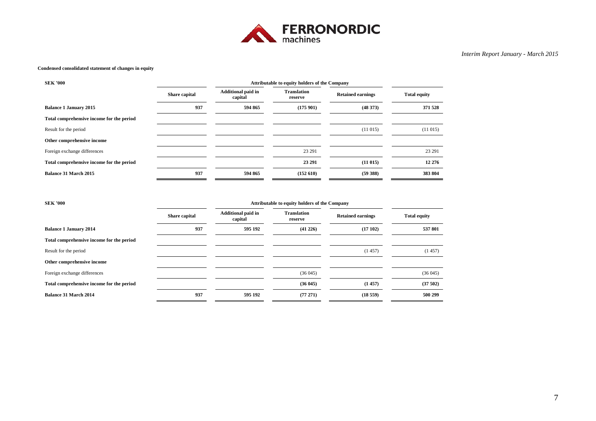

#### **Condensed consolidated statement of changes in equity**

| <b>SEK '000</b>                           | Attributable to equity holders of the Company |                                      |                               |                          |                     |
|-------------------------------------------|-----------------------------------------------|--------------------------------------|-------------------------------|--------------------------|---------------------|
|                                           | Share capital                                 | <b>Additional paid in</b><br>capital | <b>Translation</b><br>reserve | <b>Retained earnings</b> | <b>Total equity</b> |
| <b>Balance 1 January 2015</b>             | 937                                           | 594 865                              | (175901)                      | (48373)                  | 371 528             |
| Total comprehensive income for the period |                                               |                                      |                               |                          |                     |
| Result for the period                     |                                               |                                      |                               | (11015)                  | (11015)             |
| Other comprehensive income                |                                               |                                      |                               |                          |                     |
| Foreign exchange differences              |                                               |                                      | 23 29 1                       |                          | 23 29 1             |
| Total comprehensive income for the period |                                               |                                      | 23 29 1                       | (11015)                  | 12 276              |
| <b>Balance 31 March 2015</b>              | 937                                           | 594 865                              | (152 610)                     | (59388)                  | 383 804             |

| <b>SEK '000</b>                           | Attributable to equity holders of the Company |                                      |                               |                          |                     |
|-------------------------------------------|-----------------------------------------------|--------------------------------------|-------------------------------|--------------------------|---------------------|
|                                           | Share capital                                 | <b>Additional paid in</b><br>capital | <b>Translation</b><br>reserve | <b>Retained earnings</b> | <b>Total equity</b> |
| <b>Balance 1 January 2014</b>             | 937                                           | 595 192                              | (41 226)                      | (17102)                  | 537 801             |
| Total comprehensive income for the period |                                               |                                      |                               |                          |                     |
| Result for the period                     |                                               |                                      |                               | (1457)                   | (1457)              |
| Other comprehensive income                |                                               |                                      |                               |                          |                     |
| Foreign exchange differences              |                                               |                                      | (36045)                       |                          | (36045)             |
| Total comprehensive income for the period |                                               |                                      | (36045)                       | (1457)                   | (37502)             |
| <b>Balance 31 March 2014</b>              | 937                                           | 595 192                              | (77271)                       | (18559)                  | 500 299             |
|                                           |                                               |                                      |                               |                          |                     |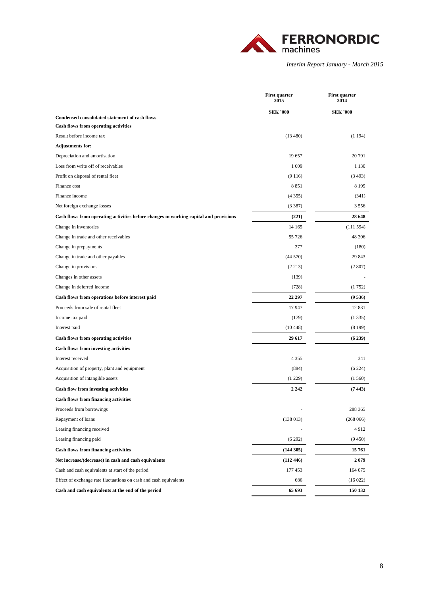

|                                                                                               | <b>First quarter</b><br>2015 | <b>First quarter</b><br>2014 |
|-----------------------------------------------------------------------------------------------|------------------------------|------------------------------|
|                                                                                               | <b>SEK '000</b>              | <b>SEK '000</b>              |
| Condensed consolidated statement of cash flows<br><b>Cash flows from operating activities</b> |                              |                              |
| Result before income tax                                                                      | (13 480)                     | (1194)                       |
| <b>Adjustments for:</b>                                                                       |                              |                              |
| Depreciation and amortisation                                                                 | 19 657                       | 20 791                       |
| Loss from write off of receivables                                                            | 1609                         | 1 1 3 0                      |
| Profit on disposal of rental fleet                                                            | (9116)                       | (3493)                       |
| Finance cost                                                                                  | 8851                         | 8 1 9 9                      |
| Finance income                                                                                | (4355)                       | (341)                        |
| Net foreign exchange losses                                                                   | (3387)                       | 3556                         |
| Cash flows from operating activities before changes in working capital and provisions         | (221)                        | 28 648                       |
| Change in inventories                                                                         | 14 165                       | (111594)                     |
| Change in trade and other receivables                                                         | 55 726                       | 48 30 6                      |
| Change in prepayments                                                                         | 277                          | (180)                        |
| Change in trade and other payables                                                            | (44570)                      | 29 843                       |
| Change in provisions                                                                          | (2 213)                      | (2807)                       |
| Changes in other assets                                                                       | (139)                        |                              |
| Change in deferred income                                                                     | (728)                        | (1752)                       |
| Cash flows from operations before interest paid                                               | 22 297                       | (9536)                       |
| Proceeds from sale of rental fleet                                                            | 17947                        | 12 8 31                      |
| Income tax paid                                                                               | (179)                        | (1335)                       |
| Interest paid                                                                                 | (10448)                      | (8199)                       |
| <b>Cash flows from operating activities</b>                                                   | 29 617                       | (6239)                       |
| Cash flows from investing activities                                                          |                              |                              |
| Interest received                                                                             | 4 3 5 5                      | 341                          |
| Acquisition of property, plant and equipment                                                  | (884)                        | (6224)                       |
| Acquisition of intangible assets                                                              | (1229)                       | (1560)                       |
| <b>Cash flow from investing activities</b>                                                    | 2 2 4 2                      | (7443)                       |
| <b>Cash flows from financing activities</b>                                                   |                              |                              |
| Proceeds from borrowings                                                                      |                              | 288 365                      |
| Repayment of loans                                                                            | (138013)                     | (268066)                     |
| Leasing financing received                                                                    |                              | 4912                         |
| Leasing financing paid                                                                        | (6292)                       | (9450)                       |
| <b>Cash flows from financing activities</b>                                                   | (144305)                     | 15 761                       |
| Net increase/(decrease) in cash and cash equivalents                                          | (112446)                     | 2079                         |
| Cash and cash equivalents at start of the period                                              | 177 453                      | 164 075                      |
| Effect of exchange rate fluctuations on cash and cash equivalents                             | 686                          | (16022)                      |
| Cash and cash equivalents at the end of the period                                            | 65 693                       | 150 132                      |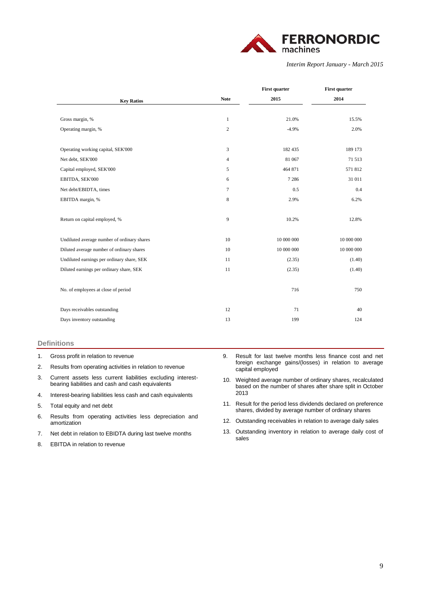

|                                             |                | <b>First quarter</b> | <b>First quarter</b> |
|---------------------------------------------|----------------|----------------------|----------------------|
| <b>Key Ratios</b>                           | <b>Note</b>    | 2015                 | 2014                 |
|                                             |                |                      |                      |
| Gross margin, %                             | $\mathbf{1}$   | 21.0%                | 15.5%                |
| Operating margin, %                         | 2              | $-4.9%$              | 2.0%                 |
|                                             |                |                      |                      |
| Operating working capital, SEK'000          | 3              | 182 435              | 189 173              |
| Net debt, SEK'000                           | $\overline{4}$ | 81 067               | 71 513               |
| Capital employed, SEK'000                   | 5              | 464 871              | 571812               |
| EBITDA, SEK'000                             | 6              | 7 2 8 6              | 31 011               |
| Net debt/EBIDTA, times                      | $\tau$         | 0.5                  | 0.4                  |
| EBITDA margin, %                            | 8              | 2.9%                 | 6.2%                 |
|                                             |                |                      |                      |
| Return on capital employed, %               | 9              | 10.2%                | 12.8%                |
|                                             |                |                      |                      |
| Undiluted average number of ordinary shares | 10             | 10 000 000           | 10 000 000           |
| Diluted average number of ordinary shares   | 10             | 10 000 000           | 10 000 000           |
| Undiluted earnings per ordinary share, SEK  | 11             | (2.35)               | (1.40)               |
| Diluted earnings per ordinary share, SEK    | 11             | (2.35)               | (1.40)               |
|                                             |                |                      |                      |
| No. of employees at close of period         |                | 716                  | 750                  |
|                                             |                |                      |                      |
| Days receivables outstanding                | 12             | 71                   | 40                   |
| Days inventory outstanding                  | 13             | 199                  | 124                  |
|                                             |                |                      |                      |

#### **Definitions**

- 1. Gross profit in relation to revenue
- 2. Results from operating activities in relation to revenue
- 3. Current assets less current liabilities excluding interestbearing liabilities and cash and cash equivalents
- 4. Interest-bearing liabilities less cash and cash equivalents
- 5. Total equity and net debt
- 6. Results from operating activities less depreciation and amortization
- 7. Net debt in relation to EBIDTA during last twelve months
- 8. EBITDA in relation to revenue
- 9. Result for last twelve months less finance cost and net foreign exchange gains/(losses) in relation to average capital employed
- 10. Weighted average number of ordinary shares, recalculated based on the number of shares after share split in October 2013
- 11. Result for the period less dividends declared on preference shares, divided by average number of ordinary shares
- 12. Outstanding receivables in relation to average daily sales
- 13. Outstanding inventory in relation to average daily cost of sales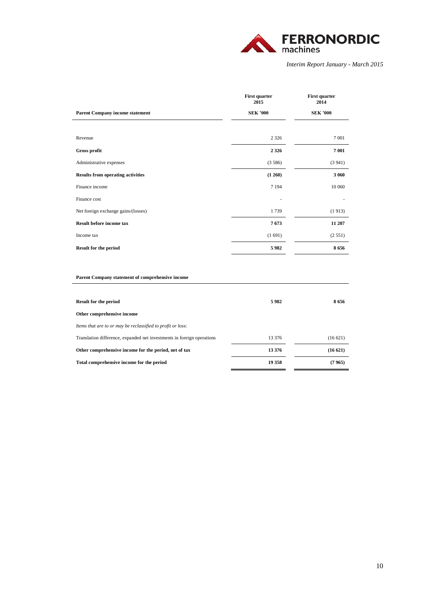

|                                          | <b>First quarter</b><br>2015 | <b>First quarter</b><br>2014 |
|------------------------------------------|------------------------------|------------------------------|
| <b>Parent Company income statement</b>   | <b>SEK '000</b>              | <b>SEK '000</b>              |
|                                          |                              |                              |
| Revenue                                  | 2 3 2 6                      | 7 0 0 1                      |
| Gross profit                             | 2 3 2 6                      | 7 001                        |
| Administrative expenses                  | (3586)                       | (3941)                       |
| <b>Results from operating activities</b> | (1260)                       | 3 0 6 0                      |
| Finance income                           | 7 1 9 4                      | 10 060                       |
| Finance cost                             |                              |                              |
| Net foreign exchange gains/(losses)      | 1739                         | (1913)                       |
| <b>Result before income tax</b>          | 7673                         | 11 207                       |
| Income tax                               | (1691)                       | (2551)                       |
| <b>Result for the period</b>             | 5982                         | 8656                         |

#### **Parent Company statement of comprehensive income**

| <b>Result for the period</b>                                           | 5982   | 8656    |
|------------------------------------------------------------------------|--------|---------|
| Other comprehensive income                                             |        |         |
| Items that are to or may be reclassified to profit or loss:            |        |         |
| Translation difference, expanded net investments in foreign operations | 13 376 | (16621) |
| Other comprehensive income for the period, net of tax                  | 13 376 | (16621) |
| Total comprehensive income for the period                              | 19 358 | (7965)  |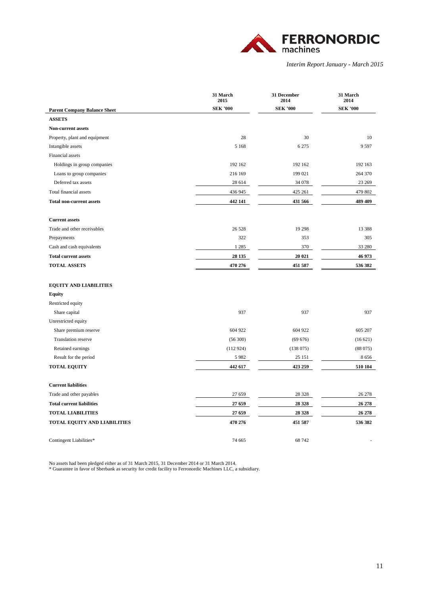

|                                                      | 31 March<br>2015  | 31 December<br>2014 | 31 March<br>2014 |
|------------------------------------------------------|-------------------|---------------------|------------------|
| <b>Parent Company Balance Sheet</b>                  | <b>SEK '000</b>   | <b>SEK '000</b>     | <b>SEK '000</b>  |
| <b>ASSETS</b>                                        |                   |                     |                  |
| <b>Non-current assets</b>                            |                   |                     |                  |
| Property, plant and equipment                        | 28                | 30                  | 10               |
| Intangible assets                                    | 5 1 6 8           | 6 2 7 5             | 9 5 9 7          |
| Financial assets                                     |                   |                     |                  |
| Holdings in group companies                          | 192 162           | 192 162             | 192 163          |
| Loans to group companies                             | 216 169           | 199 021             | 264 370          |
| Deferred tax assets                                  | 28 614            | 34 078              | 23 269           |
| Total financial assets                               | 436 945           | 425 261             | 479 802          |
| <b>Total non-current assets</b>                      | 442 141           | 431 566             | 489 409          |
|                                                      |                   |                     |                  |
| <b>Current assets</b><br>Trade and other receivables | 26 5 28           | 19 29 8             | 13 388           |
| Prepayments                                          | 322               | 353                 | 305              |
| Cash and cash equivalents                            | 1 2 8 5           | 370                 | 33 280           |
| <b>Total current assets</b>                          |                   | 20 021              | 46 973           |
| <b>TOTAL ASSETS</b>                                  | 28 135<br>470 276 |                     | 536 382          |
|                                                      |                   | 451 587             |                  |
| <b>EQUITY AND LIABILITIES</b>                        |                   |                     |                  |
| <b>Equity</b>                                        |                   |                     |                  |
| Restricted equity                                    |                   |                     |                  |
| Share capital                                        | 937               | 937                 | 937              |
| Unrestricted equity                                  |                   |                     |                  |
| Share premium reserve                                | 604 922           | 604 922             | 605 207          |
| Translation reserve                                  | (56 300)          | (69 676)            | (16621)          |
| Retained earnings                                    | (112924)          | (138075)            | (88075)          |
| Result for the period                                | 5982              | 25 15 1             | 8656             |
| <b>TOTAL EQUITY</b>                                  | 442 617           | 423 259             | 510 104          |
| <b>Current liabilities</b>                           |                   |                     |                  |
| Trade and other payables                             | 27 659            | 28 3 28             | 26 278           |
| <b>Total current liabilities</b>                     | 27 659            | 28 3 28             | 26 278           |
| <b>TOTAL LIABILITIES</b>                             | 27 659            | 28 3 28             | 26 278           |
| TOTAL EQUITY AND LIABILITIES                         | 470 276           | 451 587             | 536 382          |
| Contingent Liabilities*                              | 74 665            | 68 742              |                  |

No assets had been pledged either as of 31 March 2015, 31 December 2014 or 31 March 2014.

\* Guarantee in favor of Sberbank as security for credit facility to Ferronordic Machines LLC, a subsidiary.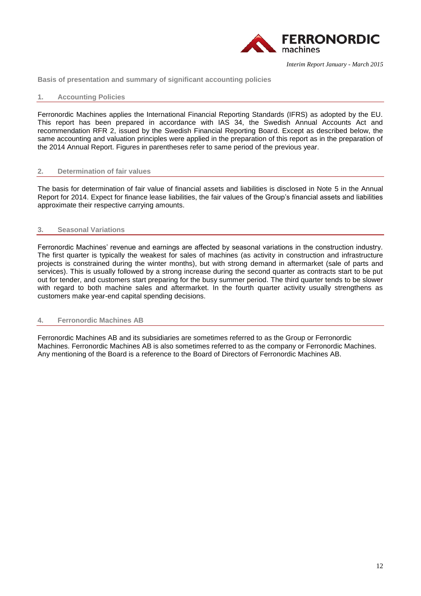

**Basis of presentation and summary of significant accounting policies**

## **1. Accounting Policies**

Ferronordic Machines applies the International Financial Reporting Standards (IFRS) as adopted by the EU. This report has been prepared in accordance with IAS 34, the Swedish Annual Accounts Act and recommendation RFR 2, issued by the Swedish Financial Reporting Board. Except as described below, the same accounting and valuation principles were applied in the preparation of this report as in the preparation of the 2014 Annual Report. Figures in parentheses refer to same period of the previous year.

## **2. Determination of fair values**

The basis for determination of fair value of financial assets and liabilities is disclosed in Note 5 in the Annual Report for 2014. Expect for finance lease liabilities, the fair values of the Group's financial assets and liabilities approximate their respective carrying amounts.

# **3. Seasonal Variations**

Ferronordic Machines' revenue and earnings are affected by seasonal variations in the construction industry. The first quarter is typically the weakest for sales of machines (as activity in construction and infrastructure projects is constrained during the winter months), but with strong demand in aftermarket (sale of parts and services). This is usually followed by a strong increase during the second quarter as contracts start to be put out for tender, and customers start preparing for the busy summer period. The third quarter tends to be slower with regard to both machine sales and aftermarket. In the fourth quarter activity usually strengthens as customers make year-end capital spending decisions.

## **4. Ferronordic Machines AB**

Ferronordic Machines AB and its subsidiaries are sometimes referred to as the Group or Ferronordic Machines. Ferronordic Machines AB is also sometimes referred to as the company or Ferronordic Machines. Any mentioning of the Board is a reference to the Board of Directors of Ferronordic Machines AB.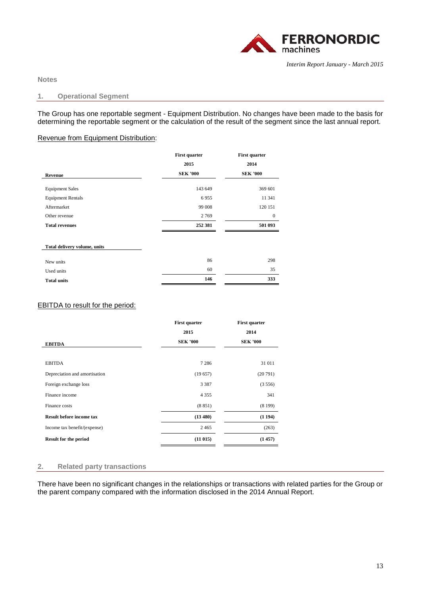

**Notes** 

## **1. Operational Segment**

The Group has one reportable segment - Equipment Distribution. No changes have been made to the basis for determining the reportable segment or the calculation of the result of the segment since the last annual report.

# Revenue from Equipment Distribution:

|                              | <b>First quarter</b> | <b>First quarter</b> |
|------------------------------|----------------------|----------------------|
|                              | 2015                 | 2014                 |
| <b>Revenue</b>               | <b>SEK '000</b>      | <b>SEK '000</b>      |
| <b>Equipment Sales</b>       | 143 649              | 369 601              |
| <b>Equipment Rentals</b>     | 6955                 | 11 341               |
| Aftermarket                  | 99 008               | 120 151              |
| Other revenue                | 2769                 | $\boldsymbol{0}$     |
| <b>Total revenues</b>        | 252 381              | 501 093              |
| Total delivery volume, units |                      |                      |
| New units                    | 86                   | 298                  |
| Used units                   | 60                   | 35                   |
| <b>Total units</b>           | 146                  | 333                  |

# EBITDA to result for the period:

|                                 | <b>First quarter</b> | <b>First quarter</b> |
|---------------------------------|----------------------|----------------------|
|                                 | 2015                 | 2014                 |
| <b>EBITDA</b>                   | <b>SEK '000</b>      | <b>SEK '000</b>      |
| <b>EBITDA</b>                   | 7 2 8 6              | 31 011               |
| Depreciation and amortisation   | (19657)              | (20791)              |
| Foreign exchange loss           | 3 3 8 7              | (3556)               |
| Finance income                  | 4 3 5 5              | 341                  |
| Finance costs                   | (8851)               | (8199)               |
| <b>Result before income tax</b> | (13 480)             | (1194)               |
| Income tax benefit/(expense)    | 2465                 | (263)                |
| <b>Result for the period</b>    | (11015)              | (1457)               |

## **2. Related party transactions**

There have been no significant changes in the relationships or transactions with related parties for the Group or the parent company compared with the information disclosed in the 2014 Annual Report.